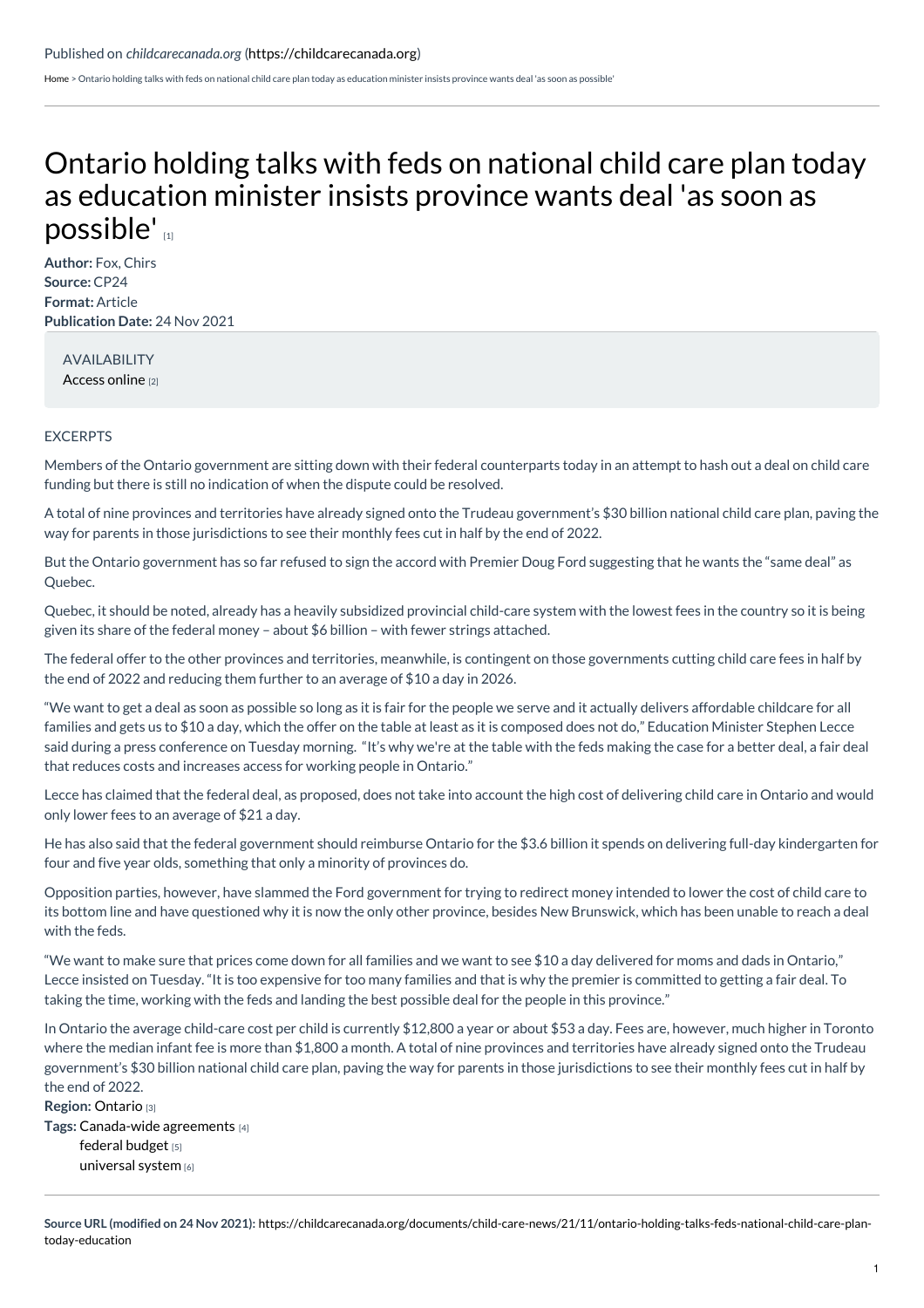[Home](https://childcarecanada.org/) > Ontario holding talks with feds on national child care plan today as education minister insists province wants deal 'as soon as possible'

## Ontario holding talks with feds on national child care plan today as [education](https://childcarecanada.org/documents/child-care-news/21/11/ontario-holding-talks-feds-national-child-care-plan-today-education) minister insists province wants deal 'as soon as possible'

**Author:** Fox, Chirs **Source:** CP24 **Format:** Article **Publication Date:** 24 Nov 2021

AVAILABILITY [Access](https://www.cp24.com/news/ontario-holding-talks-with-feds-on-national-child-care-plan-today-as-education-minister-insists-province-wants-deal-as-soon-as-possible-1.5679206) online [2]

## EXCERPTS

Members of the Ontario government are sitting down with their federal counterparts today in an attempt to hash out a deal on child care funding but there is still no indication of when the dispute could be resolved.

A total of nine provinces and territories have already signed onto the Trudeau government's \$30 billion national child care plan, paving the way for parents in those jurisdictions to see their monthly fees cut in half by the end of 2022.

But the Ontario government has so far refused to sign the accord with Premier Doug Ford suggesting that he wants the "same deal" as Quebec.

Quebec, it should be noted, already has a heavily subsidized provincial child-care system with the lowest fees in the country so it is being given its share of the federal money – about \$6 billion – with fewer strings attached.

The federal offer to the other provinces and territories, meanwhile, is contingent on those governments cutting child care fees in half by the end of 2022 and reducing them further to an average of \$10 a day in 2026.

"We want to get a deal as soon as possible so long as it is fair for the people we serve and it actually delivers affordable childcare for all families and gets us to \$10 a day, which the offer on the table at least as it is composed does not do," Education Minister Stephen Lecce said during a press conference on Tuesday morning. "It's why we're at the table with the feds making the case for a better deal, a fair deal that reduces costs and increases access for working people in Ontario."

Lecce has claimed that the federal deal, as proposed, does not take into account the high cost of delivering child care in Ontario and would only lower fees to an average of \$21 a day.

He has also said that the federal government should reimburse Ontario for the \$3.6 billion it spends on delivering full-day kindergarten for four and five year olds, something that only a minority of provinces do.

Opposition parties, however, have slammed the Ford government for trying to redirect money intended to lower the cost of child care to its bottom line and have questioned why it is now the only other province, besides New Brunswick, which has been unable to reach a deal with the feds.

"We want to make sure that prices come down for all families and we want to see \$10 a day delivered for moms and dads in Ontario," Lecce insisted on Tuesday. "It is too expensive for too many families and that is why the premier is committed to getting a fair deal. To taking the time, working with the feds and landing the best possible deal for the people in this province."

In Ontario the average child-care cost per child is currently \$12,800 a year or about \$53 a day. Fees are, however, much higher in Toronto where the median infant fee is more than \$1,800 a month. A total of nine provinces and territories have already signed onto the Trudeau government's \$30 billion national child care plan, paving the way for parents in those jurisdictions to see their monthly fees cut in half by the end of 2022.

**Region:** [Ontario](https://childcarecanada.org/taxonomy/term/7856) [3] **Tags:** [Canada-wide](https://childcarecanada.org/taxonomy/term/9207) agreements [4] [federal](https://childcarecanada.org/category/tags/federal-budget) budget [5] [universal](https://childcarecanada.org/taxonomy/term/9083) system [6]

**Source URL (modified on 24 Nov 2021):** [https://childcarecanada.org/documents/child-care-news/21/11/ontario-holding-talks-feds-national-child-care-plan](https://childcarecanada.org/documents/child-care-news/21/11/ontario-holding-talks-feds-national-child-care-plan-today-education)today-education